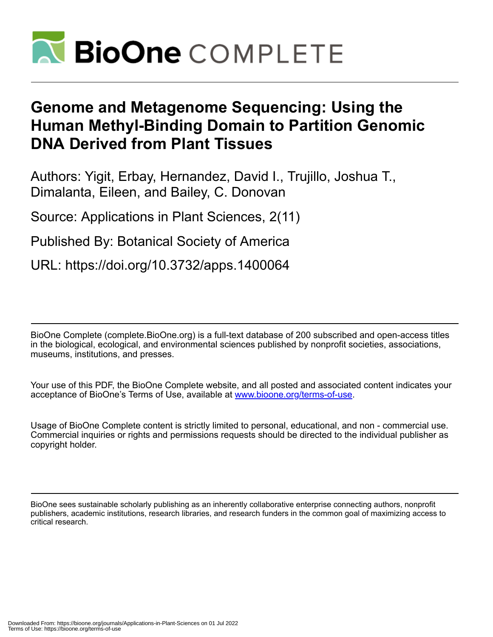

# **Genome and Metagenome Sequencing: Using the Human Methyl-Binding Domain to Partition Genomic DNA Derived from Plant Tissues**

Authors: Yigit, Erbay, Hernandez, David I., Trujillo, Joshua T., Dimalanta, Eileen, and Bailey, C. Donovan

Source: Applications in Plant Sciences, 2(11)

Published By: Botanical Society of America

URL: https://doi.org/10.3732/apps.1400064

BioOne Complete (complete.BioOne.org) is a full-text database of 200 subscribed and open-access titles in the biological, ecological, and environmental sciences published by nonprofit societies, associations, museums, institutions, and presses.

Your use of this PDF, the BioOne Complete website, and all posted and associated content indicates your acceptance of BioOne's Terms of Use, available at www.bioone.org/terms-of-use.

Usage of BioOne Complete content is strictly limited to personal, educational, and non - commercial use. Commercial inquiries or rights and permissions requests should be directed to the individual publisher as copyright holder.

BioOne sees sustainable scholarly publishing as an inherently collaborative enterprise connecting authors, nonprofit publishers, academic institutions, research libraries, and research funders in the common goal of maximizing access to critical research.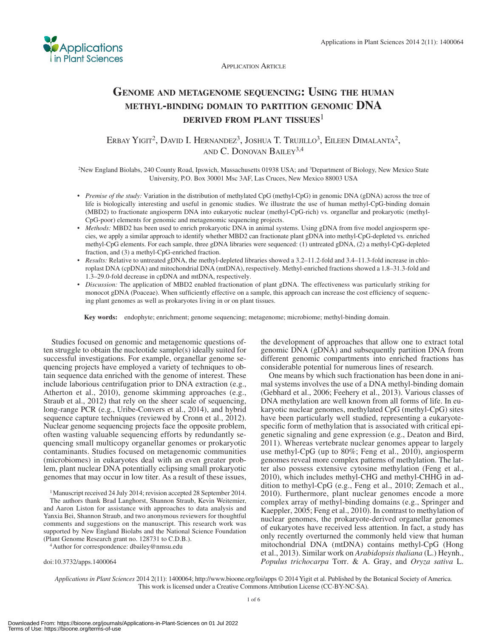

APPLICATION ARTICLE

## **GENOME AND METAGENOME SEQUENCING: USING THE HUMAN METHYL-BINDING DOMAIN TO PARTITION GENOMIC DNA DERIVED FROM PLANT TISSUES**<sup>1</sup>

ERBAY YIGIT<sup>2</sup>, DAVID I. HERNANDEZ<sup>3</sup>, JOSHUA T. TRUJILLO<sup>3</sup>, EILEEN DIMALANTA<sup>2</sup>, AND C. DONOVAN BAILEY<sup>3,4</sup>

<sup>2</sup>New England Biolabs, 240 County Road, Ipswich, Massachusetts 01938 USA; and <sup>3</sup>Department of Biology, New Mexico State University, P.O. Box 30001 Msc 3AF, Las Cruces, New Mexico 88003 USA

- *Premise of the study:* Variation in the distribution of methylated CpG (methyl-CpG) in genomic DNA (gDNA) across the tree of life is biologically interesting and useful in genomic studies. We illustrate the use of human methyl-CpG-binding domain (MBD2) to fractionate angiosperm DNA into eukaryotic nuclear (methyl-CpG-rich) vs. organellar and prokaryotic (methyl-CpG-poor) elements for genomic and metagenomic sequencing projects.
- *Methods:* MBD2 has been used to enrich prokaryotic DNA in animal systems. Using gDNA from five model angiosperm species, we apply a similar approach to identify whether MBD2 can fractionate plant gDNA into methyl-CpG-depleted vs. enriched methyl-CpG elements. For each sample, three gDNA libraries were sequenced: (1) untreated gDNA, (2) a methyl-CpG-depleted fraction, and (3) a methyl-CpG-enriched fraction.
- *Results:* Relative to untreated gDNA, the methyl-depleted libraries showed a 3.2–11.2-fold and 3.4–11.3-fold increase in chloroplast DNA (cpDNA) and mitochondrial DNA (mtDNA), respectively. Methyl-enriched fractions showed a 1.8–31.3-fold and 1.3–29.0-fold decrease in cpDNA and mtDNA, respectively.
- *Discussion:* The application of MBD2 enabled fractionation of plant gDNA. The effectiveness was particularly striking for monocot gDNA (Poaceae). When sufficiently effective on a sample, this approach can increase the cost efficiency of sequencing plant genomes as well as prokaryotes living in or on plant tissues.

 **Key words:** endophyte; enrichment; genome sequencing; metagenome; microbiome; methyl-binding domain.

 Studies focused on genomic and metagenomic questions often struggle to obtain the nucleotide sample(s) ideally suited for successful investigations. For example, organellar genome sequencing projects have employed a variety of techniques to obtain sequence data enriched with the genome of interest. These include laborious centrifugation prior to DNA extraction (e.g., Atherton et al., 2010), genome skimming approaches (e.g., Straub et al., 2012) that rely on the sheer scale of sequencing, long-range PCR (e.g., Uribe-Convers et al., 2014), and hybrid sequence capture techniques (reviewed by Cronn et al., 2012). Nuclear genome sequencing projects face the opposite problem, often wasting valuable sequencing efforts by redundantly sequencing small multicopy organellar genomes or prokaryotic contaminants. Studies focused on metagenomic communities (microbiomes) in eukaryotes deal with an even greater problem, plant nuclear DNA potentially eclipsing small prokaryotic genomes that may occur in low titer. As a result of these issues,

1 Manuscript received 24 July 2014; revision accepted 28 September 2014.

 The authors thank Brad Langhorst, Shannon Straub, Kevin Weitemier, and Aaron Liston for assistance with approaches to data analysis and Yanxia Bei, Shannon Straub, and two anonymous reviewers for thoughtful comments and suggestions on the manuscript. This research work was supported by New England Biolabs and the National Science Foundation (Plant Genome Research grant no. 128731 to C.D.B.). 4 Author for correspondence: dbailey@nmsu.edu

doi:10.3732/apps.1400064

the development of approaches that allow one to extract total genomic DNA (gDNA) and subsequently partition DNA from different genomic compartments into enriched fractions has considerable potential for numerous lines of research.

 One means by which such fractionation has been done in animal systems involves the use of a DNA methyl-binding domain (Gebhard et al., 2006; Feehery et al., 2013). Various classes of DNA methylation are well known from all forms of life. In eukaryotic nuclear genomes, methylated CpG (methyl-CpG) sites have been particularly well studied, representing a eukaryotespecific form of methylation that is associated with critical epigenetic signaling and gene expression (e.g., Deaton and Bird, 2011). Whereas vertebrate nuclear genomes appear to largely use methyl-CpG (up to 80%; Feng et al., 2010), angiosperm genomes reveal more complex patterns of methylation. The latter also possess extensive cytosine methylation (Feng et al., 2010), which includes methyl-CHG and methyl-CHHG in addition to methyl-CpG (e.g., Feng et al., 2010; Zemach et al., 2010). Furthermore, plant nuclear genomes encode a more complex array of methyl-binding domains (e.g., Springer and Kaeppler, 2005; Feng et al., 2010). In contrast to methylation of nuclear genomes, the prokaryote-derived organellar genomes of eukaryotes have received less attention. In fact, a study has only recently overturned the commonly held view that human mitochondrial DNA (mtDNA) contains methyl-CpG (Hong et al., 2013 ). Similar work on *Arabidopsis thaliana* (L.) Heynh., *Populus trichocarpa* Torr. & A. Gray, and *Oryza sativa* L.

*Applications in Plant Sciences* 2014 2 ( 11 ): 1400064; http://www.bioone.org/loi/apps © 2014 Yigit et al. Published by the Botanical Society of America. This work is licensed under a Creative Commons Attribution License (CC-BY-NC-SA).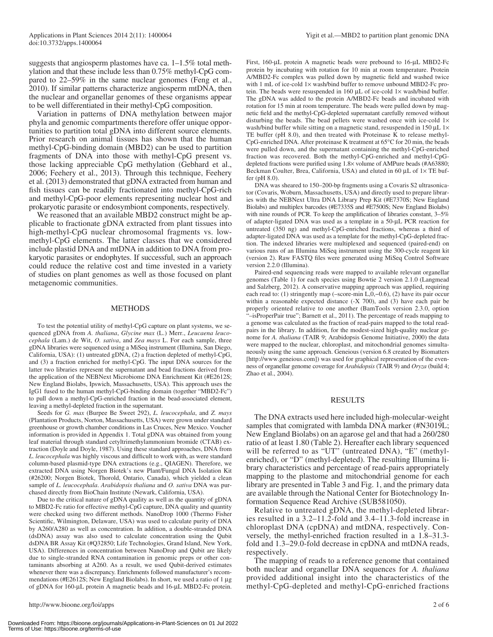suggests that angiosperm plastomes have ca. 1–1.5% total methylation and that these include less than 0.75% methyl-CpG compared to 22–59% in the same nuclear genomes (Feng et al., 2010). If similar patterns characterize angiosperm mtDNA, then the nuclear and organellar genomes of these organisms appear to be well differentiated in their methyl-CpG composition.

 Variation in patterns of DNA methylation between major phyla and genomic compartments therefore offer unique opportunities to partition total gDNA into different source elements. Prior research on animal tissues has shown that the human methyl-CpG-binding domain (MBD2) can be used to partition fragments of DNA into those with methyl-CpG present vs. those lacking appreciable CpG methylation (Gebhard et al., 2006; Feehery et al., 2013). Through this technique, Feehery et al. (2013) demonstrated that gDNA extracted from human and fish tissues can be readily fractionated into methyl-CpG-rich and methyl-CpG-poor elements representing nuclear host and prokaryotic parasite or endosymbiont components, respectively.

 We reasoned that an available MBD2 construct might be applicable to fractionate gDNA extracted from plant tissues into high-methyl-CpG nuclear chromosomal fragments vs. lowmethyl-CpG elements. The latter classes that we considered include plastid DNA and mtDNA in addition to DNA from prokaryotic parasites or endophytes. If successful, such an approach could reduce the relative cost and time invested in a variety of studies on plant genomes as well as those focused on plant metagenomic communities.

#### METHODS

 To test the potential utility of methyl-CpG capture on plant systems, we sequenced gDNA from *A. thaliana* , *Glycine max* (L.) Merr., *Leucaena leucocephala* (Lam.) de Wit, *O. sativa* , and *Zea mays* L. For each sample, three gDNA libraries were sequenced using a MiSeq instrument (Illumina, San Diego, California, USA): (1) untreated gDNA, (2) a fraction depleted of methyl-CpG, and (3) a fraction enriched for methyl-CpG. The input DNA sources for the latter two libraries represent the supernatant and bead fractions derived from the application of the NEBNext Microbiome DNA Enrichment Kit (#E2612S; New England Biolabs, Ipswich, Massachusetts, USA). This approach uses the IgG1 fused to the human methyl-CpG-binding domain (together "MBD2-Fc") to pull down a methyl-CpG-enriched fraction in the bead-associated element, leaving a methyl-depleted fraction in the supernatant.

 Seeds for *G. max* (Burpee Be Sweet 292), *L. leucocephala* , and *Z. mays* (Plantation Products, Norton, Massachusetts, USA) were grown under standard greenhouse or growth chamber conditions in Las Cruces, New Mexico. Voucher information is provided in Appendix 1. Total gDNA was obtained from young leaf material through standard cetyltrimethylammonium bromide (CTAB) extraction (Doyle and Doyle, 1987). Using these standard approaches, DNA from *L. leucocephala* was highly viscous and difficult to work with, as were standard column-based plasmid-type DNA extractions (e.g., QIAGEN). Therefore, we extracted DNA using Norgen Biotek's new Plant/Fungal DNA Isolation Kit (#26200; Norgen Biotek, Thorold, Ontario, Canada), which yielded a clean sample of *L. leucocephala* . *Arabidopsis thaliana* and *O. sativa* DNA was purchased directly from BioChain Institute (Newark, California, USA).

 Due to the critical nature of gDNA quality as well as the quantity of gDNA to MBD2-Fc ratio for effective methyl-CpG capture, DNA quality and quantity were checked using two different methods. NanoDrop 1000 (Thermo Fisher Scientific, Wilmington, Delaware, USA) was used to calculate purity of DNA by A260/A280 as well as concentration. In addition, a double-stranded DNA (dsDNA) assay was also used to calculate concentration using the Qubit dsDNA BR Assay Kit (#Q32850; Life Technologies, Grand Island, New York, USA). Differences in concentration between NanoDrop and Qubit are likely due to single-stranded RNA contamination in genomic preps or other contaminants absorbing at A260. As a result, we used Qubit-derived estimates whenever there was a discrepancy. Enrichments followed manufacturer's recommendations (#E2612S; New England Biolabs). In short, we used a ratio of 1 μg of gDNA for 160-μL protein A magnetic beads and 16-μL MBD2-Fc protein.

First, 160-μL protein A magnetic beads were prebound to 16-μL MBD2-Fc protein by incubating with rotation for 10 min at room temperature. Protein A/MBD2-Fc complex was pulled down by magnetic field and washed twice with 1 mL of ice-cold  $1 \times$  wash/bind buffer to remove unbound MBD2-Fc protein. The beads were resuspended in 160  $\mu$ L of ice-cold 1× wash/bind buffer. The gDNA was added to the protein A/MBD2-Fc beads and incubated with rotation for 15 min at room temperature. The beads were pulled down by magnetic field and the methyl-CpG-depleted supernatant carefully removed without disturbing the beads. The bead pellets were washed once with ice-cold  $1 \times$ wash/bind buffer while sitting on a magnetic stand, resuspended in 150  $\mu$ L 1× TE buffer (pH 8.0), and then treated with Proteinase K to release methyl-CpG-enriched DNA. After proteinase K treatment at 65°C for 20 min, the beads were pulled down, and the supernatant containing the methyl-CpG-enriched fraction was recovered. Both the methyl-CpG-enriched and methyl-CpGdepleted fractions were purified using 1.8× volume of AMPure beads (#A63880; Beckman Coulter, Brea, California, USA) and eluted in 60  $\mu$ L of 1 $\times$  TE buffer (pH 8.0).

 DNA was sheared to 150–200-bp fragments using a Covaris S2 ultrasonicator (Covaris, Woburn, Massachusetts, USA) and directly used to prepare libraries with the NEBNext Ultra DNA Library Prep Kit (#E7370S; New England Biolabs) and multiplex barcodes (#E7335S and #E7500S; New England Biolabs) with nine rounds of PCR. To keep the amplification of libraries constant,  $3-5\%$ of adapter-ligated DNA was used as a template in a 50-μL PCR reaction for untreated (350 ng) and methyl-CpG-enriched fractions, whereas a third of adapter-ligated DNA was used as a template for the methyl-CpG-depleted fraction. The indexed libraries were multiplexed and sequenced (paired-end) on various runs of an Illumina MiSeq instrument using the 300-cycle reagent kit (version 2). Raw FASTQ files were generated using MiSeq Control Software version 2.2.0 (Illumina).

 Paired-end sequencing reads were mapped to available relevant organellar genomes (Table 1) for each species using Bowtie 2 version 2.1.0 (Langmead and Salzberg, 2012). A conservative mapping approach was applied, requiring each read to: (1) stringently map (–score-min L,0,−0.6), (2) have its pair occur within a reasonable expected distance (-X 700), and (3) have each pair be properly oriented relative to one another (BamTools version 2.3.0, option "–isProperPair true"; Barnett et al., 2011 ). The percentage of reads mapping to a genome was calculated as the fraction of read-pairs mapped to the total readpairs in the library. In addition, for the modest-sized high-quality nuclear genome for *A. thaliana* (TAIR 9; Arabidopsis Genome Initiative, 2000) the data were mapped to the nuclear, chloroplast, and mitochondrial genomes simultaneously using the same approach. Geneious (version 6.8 created by Biomatters [http://www.geneious.com]) was used for graphical representation of the evenness of organellar genome coverage for *Arabidopsis* (TAIR 9) and *Oryza* (build 4; Zhao et al., 2004).

#### RESULTS

 The DNA extracts used here included high-molecular-weight samples that comigrated with lambda DNA marker (#N3019L; New England Biolabs) on an agarose gel and that had a 260/280 ratio of at least 1.80 (Table 2). Hereafter each library sequenced will be referred to as "UT" (untreated DNA), "E" (methylenriched), or "D" (methyl-depleted). The resulting Illumina library characteristics and percentage of read-pairs appropriately mapping to the plastome and mitochondrial genome for each library are presented in Table 3 and Fig. 1, and the primary data are available through the National Center for Biotechnology Information Sequence Read Archive (SUB581050).

 Relative to untreated gDNA, the methyl-depleted libraries resulted in a 3.2–11.2-fold and 3.4–11.3-fold increase in chloroplast DNA (cpDNA) and mtDNA, respectively. Conversely, the methyl-enriched fraction resulted in a 1.8–31.3 fold and 1.3–29.0-fold decrease in cpDNA and mtDNA reads, respectively.

 The mapping of reads to a reference genome that contained both nuclear and organellar DNA sequences for *A. thaliana* provided additional insight into the characteristics of the methyl-CpG-depleted and methyl-CpG-enriched fractions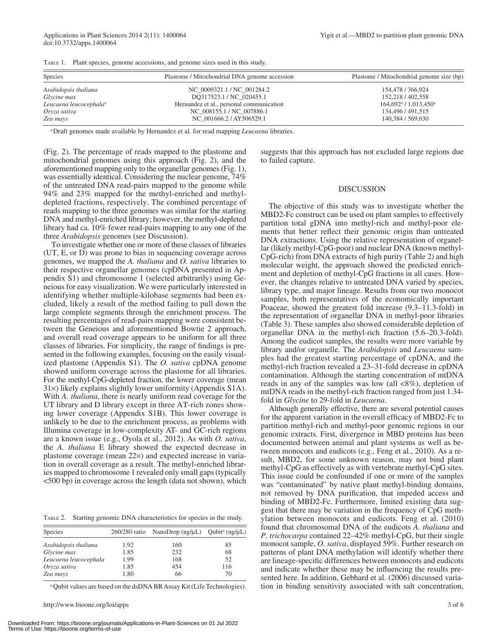| TABLE 1. | Plant species, genome accessions, and genome sizes used in this study. |  |  |
|----------|------------------------------------------------------------------------|--|--|
|          |                                                                        |  |  |

| <b>Species</b>                     | Plastome / Mitochondrial DNA genome accession | Plastome / Mitochondrial genome size (bp)     |  |  |
|------------------------------------|-----------------------------------------------|-----------------------------------------------|--|--|
| Arabidopsis thaliana               | NC 0009321.1/NC 001284.2                      | 154,478 / 366,924                             |  |  |
| Glycine max                        | DQ317523.1 / NC_020455.1                      | 152,218/402,558                               |  |  |
| Leucaena leucocephala <sup>a</sup> | Hernandez et al., personal communication      | 164,692 <sup>a</sup> / 1,013,450 <sup>a</sup> |  |  |
| Oryza sativa                       | NC 008155.1 / NC 007886.1                     | 134,496 / 491,515                             |  |  |
| Zea mays                           | NC 001666.2/AY506529.1                        | 140,384 / 569,630                             |  |  |

a Draft genomes made available by Hernandez et al. for read mapping *Leucaena* libraries.

(Fig. 2). The percentage of reads mapped to the plastome and mitochondrial genomes using this approach (Fig. 2), and the aforementioned mapping only to the organellar genomes (Fig. 1), was essentially identical. Considering the nuclear genome, 74% of the untreated DNA read-pairs mapped to the genome while 94% and 23% mapped for the methyl-enriched and methyldepleted fractions, respectively. The combined percentage of reads mapping to the three genomes was similar for the starting DNA and methyl-enriched library; however, the methyl-depleted library had ca. 10% fewer read-pairs mapping to any one of the three *Arabidopsis* genomes (see Discussion).

 To investigate whether one or more of these classes of libraries (UT, E, or D) was prone to bias in sequencing coverage across genomes, we mapped the *A. thaliana* and *O. sativa* libraries to their respective organellar genomes (cpDNA presented in Appendix S1) and chromosome 1 (selected arbitrarily) using Geneious for easy visualization. We were particularly interested in identifying whether multiple-kilobase segments had been excluded, likely a result of the method failing to pull down the large complete segments through the enrichment process. The resulting percentages of read-pairs mapping were consistent between the Geneious and aforementioned Bowtie 2 approach, and overall read coverage appears to be uniform for all three classes of libraries. For simplicity, the range of findings is presented in the following examples, focusing on the easily visualized plastome (Appendix S1). The *O. sativa* cpDNA genome showed uniform coverage across the plastome for all libraries. For the methyl-CpG-depleted fraction, the lower coverage (mean  $31 \times$ ) likely explains slightly lower uniformity (Appendix S1A). With *A. thaliana*, there is nearly uniform read coverage for the UT library and D library except in three AT-rich zones showing lower coverage (Appendix S1B). This lower coverage is unlikely to be due to the enrichment process, as problems with Illumina coverage in low-complexity AT- and GC-rich regions are a known issue (e.g., Oyola et al., 2012 ). As with *O. sativa* , the *A. thaliana* E library showed the expected decrease in plastome coverage (mean  $22 \times$ ) and expected increase in variation in overall coverage as a result. The methyl-enriched libraries mapped to chromosome 1 revealed only small gaps (typically <500 bp) in coverage across the length (data not shown), which

TABLE 2. Starting genomic DNA characteristics for species in the study.

| <b>Species</b>        |      | $260/280$ ratio NanoDrop (ng/ $\mu$ L) Qubit <sup>a</sup> (ng/ $\mu$ L) |     |
|-----------------------|------|-------------------------------------------------------------------------|-----|
| Arabidopsis thaliana  | 1.92 | 160                                                                     | 85  |
| Glycine max           | 1.85 | 232                                                                     | 68  |
| Leucaena leucocephala | 1.99 | 168                                                                     | 52  |
| Oryza sativa          | 1.85 | 454                                                                     | 116 |
| Zea mays              | 1.80 | 66                                                                      | 70  |

<sup>a</sup> Qubit values are based on the dsDNA BR Assay Kit (Life Technologies).

suggests that this approach has not excluded large regions due to failed capture.

#### DISCUSSION

 The objective of this study was to investigate whether the MBD2-Fc construct can be used on plant samples to effectively partition total gDNA into methyl-rich and methyl-poor elements that better reflect their genomic origin than untreated DNA extractions. Using the relative representation of organellar (likely methyl-CpG-poor) and nuclear DNA (known methyl-CpG-rich) from DNA extracts of high purity (Table 2) and high molecular weight, the approach showed the predicted enrichment and depletion of methyl-CpG fractions in all cases. However, the changes relative to untreated DNA varied by species, library type, and major lineage. Results from our two monocot samples, both representatives of the economically important Poaceae, showed the greatest fold increase (9.3–11.3-fold) in the representation of organellar DNA in methyl-poor libraries (Table 3). These samples also showed considerable depletion of organellar DNA in the methyl-rich fraction (5.6–20.3-fold). Among the eudicot samples, the results were more variable by library and/or organelle. The *Arabidopsis* and *Leucaena* samples had the greatest starting percentage of cpDNA, and the methyl-rich fraction revealed a 23–31-fold decrease in cpDNA contamination. Although the starting concentration of mtDNA reads in any of the samples was low (all <8%), depletion of mtDNA reads in the methyl-rich fraction ranged from just 1.34 fold in *Glycine* to 29-fold in *Leucaena* .

 Although generally effective, there are several potential causes for the apparent variation in the overall efficacy of MBD2-Fc to partition methyl-rich and methyl-poor genomic regions in our genomic extracts. First, divergence in MBD proteins has been documented between animal and plant systems as well as between monocots and eudicots (e.g., Feng et al., 2010). As a result, MBD2, for some unknown reason, may not bind plant methyl-CpG as effectively as with vertebrate methyl-CpG sites. This issue could be confounded if one or more of the samples was "contaminated" by native plant methyl-binding domains, not removed by DNA purification, that impeded access and binding of MBD2-Fc. Furthermore, limited existing data suggest that there may be variation in the frequency of CpG methylation between monocots and eudicots. Feng et al. (2010) found that chromosomal DNA of the eudicots *A. thaliana* and *P. trichocarpa* contained 22–42% methyl-CpG, but their single monocot sample, *O. sativa*, displayed 59%. Further research on patterns of plant DNA methylation will identify whether there are lineage-specific differences between monocots and eudicots and indicate whether these may be influencing the results presented here. In addition, Gebhard et al. (2006) discussed variation in binding sensitivity associated with salt concentration,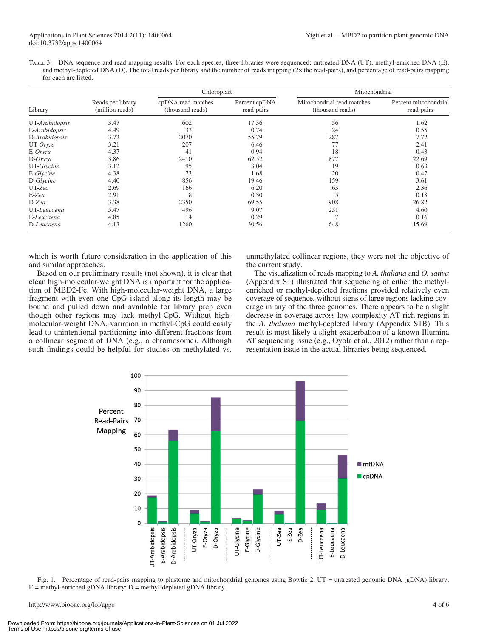TABLE 3. DNA sequence and read mapping results. For each species, three libraries were sequenced: untreated DNA (UT), methyl-enriched DNA (E), and methyl-depleted DNA (D). The total reads per library and the number of reads mapping (2× the read-pairs), and percentage of read-pairs mapping for each are listed.

|                |                                      | Chloroplast                            |                             | Mitochondrial                                  |                                     |  |
|----------------|--------------------------------------|----------------------------------------|-----------------------------|------------------------------------------------|-------------------------------------|--|
| Library        | Reads per library<br>(million reads) | cpDNA read matches<br>(thousand reads) | Percent cpDNA<br>read-pairs | Mitochondrial read matches<br>(thousand reads) | Percent mitochondrial<br>read-pairs |  |
| UT-Arabidopsis | 3.47                                 | 602                                    | 17.36                       | 56                                             | 1.62                                |  |
| E-Arabidopsis  | 4.49                                 | 33                                     | 0.74                        | 24                                             | 0.55                                |  |
| D-Arabidopsis  | 3.72                                 | 2070                                   | 55.79                       | 287                                            | 7.72                                |  |
| $UT-Orvza$     | 3.21                                 | 207                                    | 6.46                        | 77                                             | 2.41                                |  |
| $E$ -Oryza     | 4.37                                 | 41                                     | 0.94                        | 18                                             | 0.43                                |  |
| $D$ -Oryza     | 3.86                                 | 2410                                   | 62.52                       | 877                                            | 22.69                               |  |
| UT-Glycine     | 3.12                                 | 95                                     | 3.04                        | 19                                             | 0.63                                |  |
| E-Glycine      | 4.38                                 | 73                                     | 1.68                        | 20                                             | 0.47                                |  |
| D-Glycine      | 4.40                                 | 856                                    | 19.46                       | 159                                            | 3.61                                |  |
| UT-Zea         | 2.69                                 | 166                                    | 6.20                        | 63                                             | 2.36                                |  |
| E-Zea          | 2.91                                 | 8                                      | 0.30                        | 5                                              | 0.18                                |  |
| $D-Zea$        | 3.38                                 | 2350                                   | 69.55                       | 908                                            | 26.82                               |  |
| UT-Leucaena    | 5.47                                 | 496                                    | 9.07                        | 251                                            | 4.60                                |  |
| E-Leucaena     | 4.85                                 | 14                                     | 0.29                        |                                                | 0.16                                |  |
| D-Leucaena     | 4.13                                 | 1260                                   | 30.56                       | 648                                            | 15.69                               |  |

which is worth future consideration in the application of this and similar approaches.

 Based on our preliminary results (not shown), it is clear that clean high-molecular-weight DNA is important for the application of MBD2-Fc. With high-molecular-weight DNA, a large fragment with even one CpG island along its length may be bound and pulled down and available for library prep even though other regions may lack methyl-CpG. Without highmolecular-weight DNA, variation in methyl-CpG could easily lead to unintentional partitioning into different fractions from a collinear segment of DNA (e.g., a chromosome). Although such findings could be helpful for studies on methylated vs. unmethylated collinear regions, they were not the objective of the current study.

 The visualization of reads mapping to *A. thaliana* and *O. sativa* (Appendix S1) illustrated that sequencing of either the methylenriched or methyl-depleted fractions provided relatively even coverage of sequence, without signs of large regions lacking coverage in any of the three genomes. There appears to be a slight decrease in coverage across low-complexity AT-rich regions in the *A. thaliana* methyl-depleted library (Appendix S1B). This result is most likely a slight exacerbation of a known Illumina AT sequencing issue (e.g., Oyola et al., 2012) rather than a representation issue in the actual libraries being sequenced.



Fig. 1. Percentage of read-pairs mapping to plastome and mitochondrial genomes using Bowtie 2. UT = untreated genomic DNA (gDNA) library;  $E =$  methyl-enriched gDNA library;  $D =$  methyl-depleted gDNA library.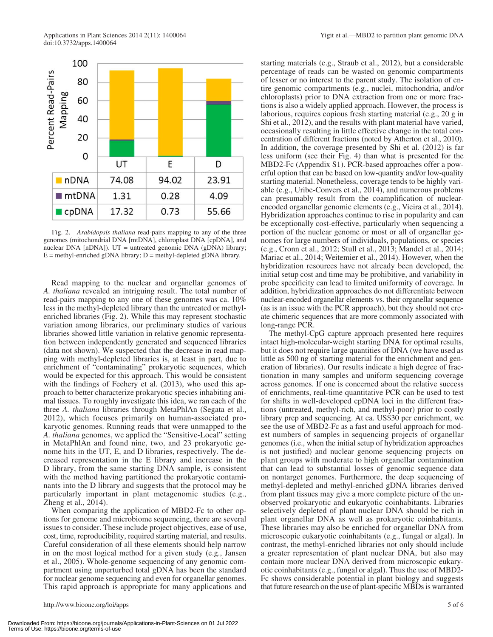

 Fig. 2. *Arabidopsis thaliana* read-pairs mapping to any of the three genomes (mitochondrial DNA [mtDNA], chloroplast DNA [cpDNA], and nuclear DNA [nDNA]). UT = untreated genomic DNA (gDNA) library;  $E =$  methyl-enriched gDNA library;  $D =$  methyl-depleted gDNA library.

 Read mapping to the nuclear and organellar genomes of *A. thaliana* revealed an intriguing result. The total number of read-pairs mapping to any one of these genomes was ca. 10% less in the methyl-depleted library than the untreated or methylenriched libraries (Fig. 2). While this may represent stochastic variation among libraries, our preliminary studies of various libraries showed little variation in relative genomic representation between independently generated and sequenced libraries (data not shown). We suspected that the decrease in read mapping with methyl-depleted libraries is, at least in part, due to enrichment of "contaminating" prokaryotic sequences, which would be expected for this approach. This would be consistent with the findings of Feehery et al. (2013), who used this approach to better characterize prokaryotic species inhabiting animal tissues. To roughly investigate this idea, we ran each of the three *A. thaliana* libraries through MetaPhlAn (Segata et al., 2012 ), which focuses primarily on human-associated prokaryotic genomes. Running reads that were unmapped to the *A. thaliana* genomes, we applied the "Sensitive-Local" setting in MetaPhlAn and found nine, two, and 23 prokaryotic genome hits in the UT, E, and D libraries, respectively. The decreased representation in the E library and increase in the D library, from the same starting DNA sample, is consistent with the method having partitioned the prokaryotic contaminants into the D library and suggests that the protocol may be particularly important in plant metagenomic studies (e.g., Zheng et al., 2014).

 When comparing the application of MBD2-Fc to other options for genome and microbiome sequencing, there are several issues to consider. These include project objectives, ease of use, cost, time, reproducibility, required starting material, and results. Careful consideration of all these elements should help narrow in on the most logical method for a given study (e.g., Jansen et al., 2005 ). Whole-genome sequencing of any genomic compartment using unperturbed total gDNA has been the standard for nuclear genome sequencing and even for organellar genomes. This rapid approach is appropriate for many applications and

starting materials (e.g., Straub et al., 2012 ), but a considerable percentage of reads can be wasted on genomic compartments of lesser or no interest to the parent study. The isolation of entire genomic compartments (e.g., nuclei, mitochondria, and/or chloroplasts) prior to DNA extraction from one or more fractions is also a widely applied approach. However, the process is laborious, requires copious fresh starting material (e.g., 20 g in Shi et al., 2012), and the results with plant material have varied, occasionally resulting in little effective change in the total concentration of different fractions (noted by Atherton et al., 2010). In addition, the coverage presented by Shi et al. (2012) is far less uniform (see their Fig. 4) than what is presented for the MBD2-Fc (Appendix S1). PCR-based approaches offer a powerful option that can be based on low-quantity and/or low-quality starting material. Nonetheless, coverage tends to be highly variable (e.g., Uribe-Convers et al., 2014), and numerous problems can presumably result from the coamplification of nuclearencoded organellar genomic elements (e.g., Vieira et al., 2014). Hybridization approaches continue to rise in popularity and can be exceptionally cost-effective, particularly when sequencing a portion of the nuclear genome or most or all of organellar genomes for large numbers of individuals, populations, or species (e.g., Cronn et al., 2012; Stull et al., 2013; Mandel et al., 2014; Mariac et al., 2014; Weitemier et al., 2014). However, when the hybridization resources have not already been developed, the initial setup cost and time may be prohibitive, and variability in probe specificity can lead to limited uniformity of coverage. In addition, hybridization approaches do not differentiate between nuclear-encoded organellar elements vs. their organellar sequence (as is an issue with the PCR approach), but they should not create chimeric sequences that are more commonly associated with long-range PCR.

 The methyl-CpG capture approach presented here requires intact high-molecular-weight starting DNA for optimal results, but it does not require large quantities of DNA (we have used as little as 500 ng of starting material for the enrichment and generation of libraries). Our results indicate a high degree of fractionation in many samples and uniform sequencing coverage across genomes. If one is concerned about the relative success of enrichments, real-time quantitative PCR can be used to test for shifts in well-developed cpDNA loci in the different fractions (untreated, methyl-rich, and methyl-poor) prior to costly library prep and sequencing. At ca. US\$30 per enrichment, we see the use of MBD2-Fc as a fast and useful approach for modest numbers of samples in sequencing projects of organellar genomes (i.e., when the initial setup of hybridization approaches is not justified) and nuclear genome sequencing projects on plant groups with moderate to high organellar contamination that can lead to substantial losses of genomic sequence data on nontarget genomes. Furthermore, the deep sequencing of methyl-depleted and methyl-enriched gDNA libraries derived from plant tissues may give a more complete picture of the unobserved prokaryotic and eukaryotic coinhabitants. Libraries selectively depleted of plant nuclear DNA should be rich in plant organellar DNA as well as prokaryotic coinhabitants. These libraries may also be enriched for organellar DNA from microscopic eukaryotic coinhabitants (e.g., fungal or algal). In contrast, the methyl-enriched libraries not only should include a greater representation of plant nuclear DNA, but also may contain more nuclear DNA derived from microscopic eukaryotic coinhabitants (e.g., fungal or algal). Thus the use of MBD2- Fc shows considerable potential in plant biology and suggests that future research on the use of plant-specific MBDs is warranted

http://www.bioone.org/loi/apps 5 of 6